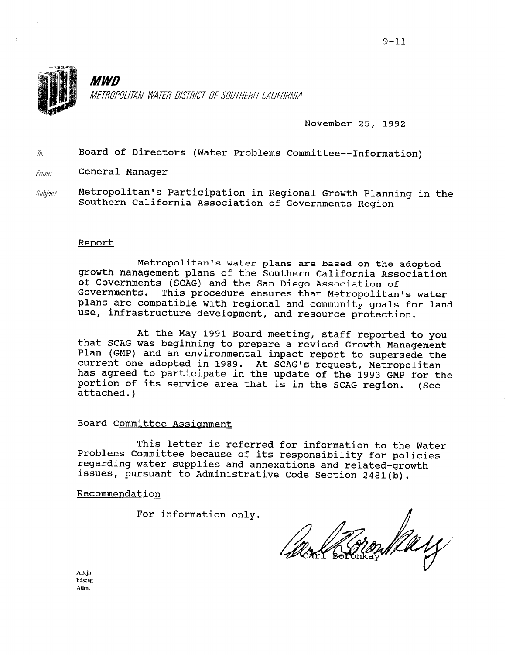

November 25, 1992

 $\tilde{u}$ : Board of Directors (Water Problems Committee--Information)

 $From$ . General Manager

 $\gamma^{\rm A}$ 

 $\mathit{Subject:}\qquad$  Metropolitan's Participation in Regional Growth Planning in the Southern California Association of Governments Region

## Report

Metropolitan's water plans are based on the adopted growth management plans of the Southern California Association of Governments (SCAG) and the San Diego Association of Governments. This procedure ensures that Metropolitan's water plans are compatible with regional and community goals for land use, infrastructure development, and resource protection.

At the May 1991 Board meeting, staff reported to you that SCAG was beginning to prepare a revised Growth Management Plan (GMP) and an environmental impact report to supersede the current one adopted in 1989. At SCAG's request, Metropolitan has agreed to participate in the update of the 1993 GMP for the portion of its service area that is in the SCAG region. attached.) (See

## Board Committee Assisnment

This letter is referred for information to the Water INTS TELLET IS FEIETTED IOT INIOTMATION TO THE WARD PROblems Committee because of its response in its in the c riobiems committee because of its responsibility for po regarding water supplies and annexations and related-growth<br>issues, pursuant to Administrative Code Section 2481(b).

## Recommendation

For information only.

Parz

 $AB:jh$ bdscag<br>Attm.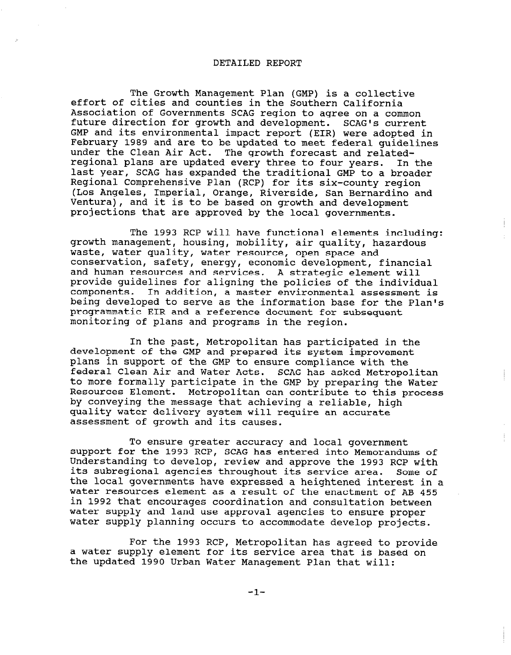## DETAILED REPORT

The Growth Management Plan (GMP) is a collective effort of cities and counties in the Southern California Association of Governments SCAG region to agree on a common future direction for growth and development. SCAG's current GMP and its environmental impact report (EIR) were adopted in February 1989 and are to be updated to meet federal guidelines under the Clean Air Act. The growth forecast and relatedregional plans are updated every three to four years. In the last year, SCAG has expanded the traditional GMP to a broader Regional Comprehensive Plan (RCP) for its six-county region (Los Angeles, Imperial, Orange, Riverside, San Bernardino and Ventura), and it is to be based on growth and development projections that are approved by the local governments.

The 1993 RCP will have functional elements including: growth management, housing, mobility, air quality, hazardous waste, water quality, water resource, open space and conservation, safety, energy, economic development, financial and human resources and services. A strategic element will provide guidelines for aligning the policies of the individual components. In addition, a master environmental assessment is being developed to serve as the information base for the Plan's programmatic EIR and a reference document for subsequent monitoring of plans and programs in the region.

In the past, Metropolitan has participated in the development of the GMP and prepared its system improvement plans in support of the GMP to ensure compliance with the federal Clean Air and Water Acts. SCAG has asked Metropolitan to more formally participate in the GMP by preparing the Water Resources Element. Metropolitan can contribute to this process by conveying the message that achieving a reliable, high quality water delivery system will require an accurate assessment of growth and its causes.

To ensure greater accuracy and local government support for the 1993 RCP, SCAG has entered into Memorandums of Understanding to develop, review and approve the 1993 RCP with onderstanding to develop, leview and approve the 1995 KCP With<br>its subregional agencies throughout its service area. Some of the local governments have expressed a heightened interest in a the local governments have expressed a heightened interest in a<br>water resources element as a result of the enactment of AB 455 in 1992 that encourages coordination and consultation between water supply and land use approvel agencies to ensure proper water supply and fand use approval agencies to ensure prop

For the 1993  $\underline{P}$  Metropolitan has agreed to provide rof the 1995 RCP, Metropolitan has agreed to provid a water supply element for its service area that is based on<br>the updated 1990 Urban Water Management Plan that will: